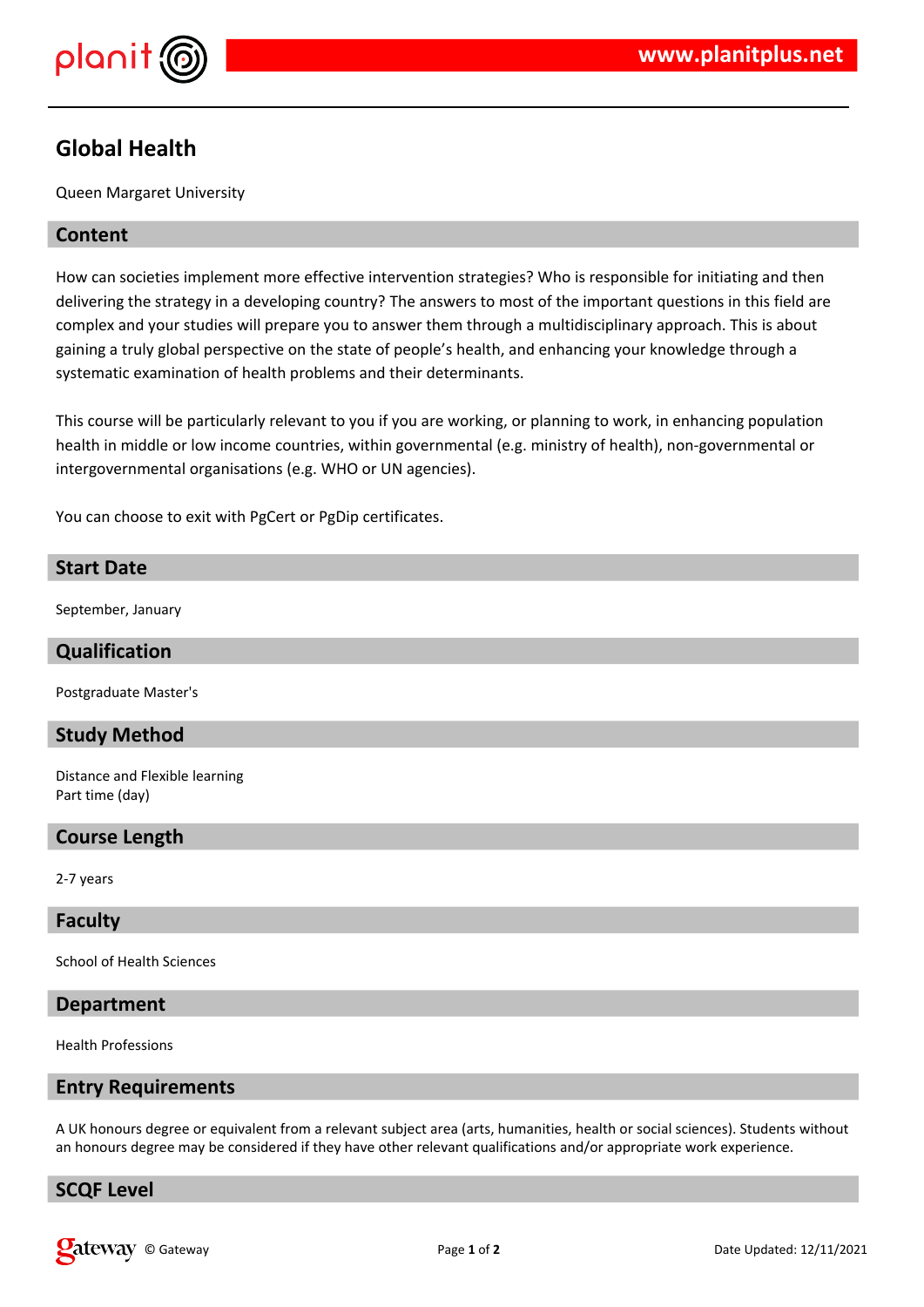

# **Global Health**

Queen Margaret University

# **Content**

How can societies implement more effective intervention strategies? Who is responsible for initiating and then delivering the strategy in a developing country? The answers to most of the important questions in this field are complex and your studies will prepare you to answer them through a multidisciplinary approach. This is about gaining a truly global perspective on the state of people's health, and enhancing your knowledge through a systematic examination of health problems and their determinants.

This course will be particularly relevant to you if you are working, or planning to work, in enhancing population health in middle or low income countries, within governmental (e.g. ministry of health), non-governmental or intergovernmental organisations (e.g. WHO or UN agencies).

You can choose to exit with PgCert or PgDip certificates.

# **Start Date**

September, January

#### **Qualification**

Postgraduate Master's

# **Study Method**

Distance and Flexible learning Part time (day)

# **Course Length**

2-7 years

#### **Faculty**

School of Health Sciences

#### **Department**

Health Professions

#### **Entry Requirements**

A UK honours degree or equivalent from a relevant subject area (arts, humanities, health or social sciences). Students without an honours degree may be considered if they have other relevant qualifications and/or appropriate work experience.

# **SCQF Level**